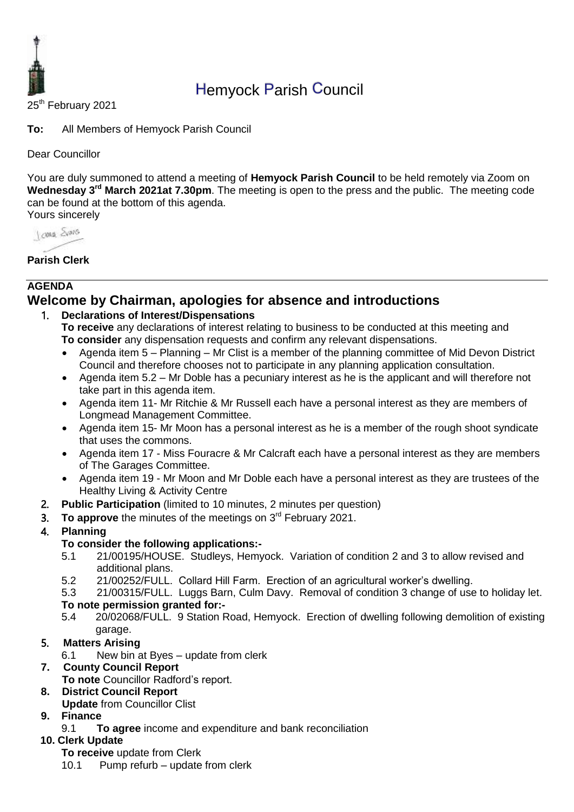

# Hemyock Parish Council

25<sup>th</sup> February 2021

**To:** All Members of Hemyock Parish Council

Dear Councillor

You are duly summoned to attend a meeting of **Hemyock Parish Council** to be held remotely via Zoom on Wednesday 3<sup>rd</sup> March 2021at 7.30pm. The meeting is open to the press and the public. The meeting code can be found at the bottom of this agenda. Yours sincerely

Jame Sans

**Parish Clerk**

#### **AGENDA Welcome by Chairman, apologies for absence and introductions**

#### 1. **Declarations of Interest/Dispensations**

- **To receive** any declarations of interest relating to business to be conducted at this meeting and **To consider** any dispensation requests and confirm any relevant dispensations.
- Agenda item 5 Planning Mr Clist is a member of the planning committee of Mid Devon District Council and therefore chooses not to participate in any planning application consultation.
- Agenda item 5.2 Mr Doble has a pecuniary interest as he is the applicant and will therefore not take part in this agenda item.
- Agenda item 11- Mr Ritchie & Mr Russell each have a personal interest as they are members of Longmead Management Committee.
- Agenda item 15- Mr Moon has a personal interest as he is a member of the rough shoot syndicate that uses the commons.
- Agenda item 17 Miss Fouracre & Mr Calcraft each have a personal interest as they are members of The Garages Committee.
- Agenda item 19 Mr Moon and Mr Doble each have a personal interest as they are trustees of the Healthy Living & Activity Centre
- 2. **Public Participation** (limited to 10 minutes, 2 minutes per question)
- 3. To approve the minutes of the meetings on 3<sup>rd</sup> February 2021.

# 4. **Planning**

# **To consider the following applications:-**

- 5.1 21/00195/HOUSE. Studleys, Hemyock. Variation of condition 2 and 3 to allow revised and additional plans.
- 5.2 21/00252/FULL. Collard Hill Farm. Erection of an agricultural worker's dwelling.
- 5.3 21/00315/FULL. Luggs Barn, Culm Davy. Removal of condition 3 change of use to holiday let.

# **To note permission granted for:-**

5.4 20/02068/FULL. 9 Station Road, Hemyock. Erection of dwelling following demolition of existing garage.

# 5. **Matters Arising**

6.1 New bin at Byes – update from clerk

# **7. County Council Report**

**To note** Councillor Radford's report.

# **8. District Council Report**

**Update** from Councillor Clist

# **9. Finance**

9.1 **To agree** income and expenditure and bank reconciliation

# **10. Clerk Update**

- **To receive** update from Clerk
- 10.1 Pump refurb update from clerk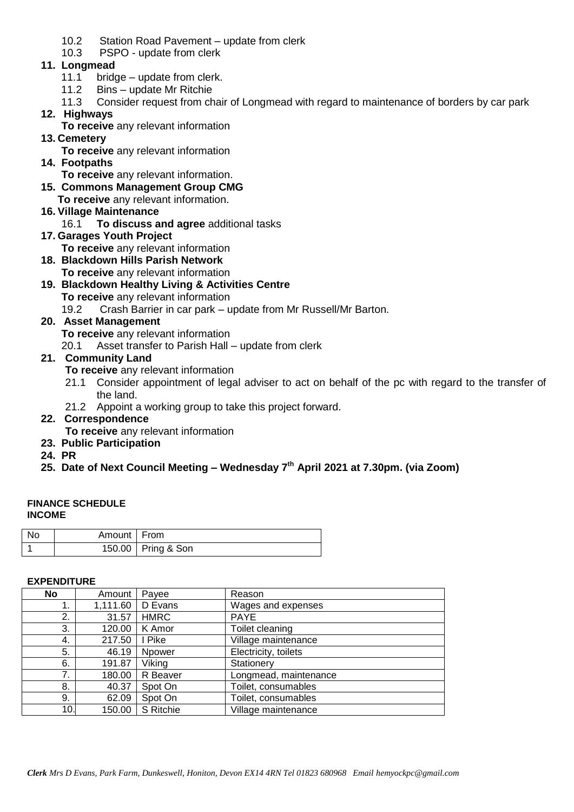- 10.2 Station Road Pavement update from clerk
- 10.3 PSPO update from clerk

#### **11. Longmead**

- 11.1 bridge update from clerk.
- 11.2 Bins update Mr Ritchie
- 11.3 Consider request from chair of Longmead with regard to maintenance of borders by car park
- **12. Highways**
	- **To receive** any relevant information
- **13. Cemetery** 
	- **To receive** any relevant information
- **14. Footpaths**
	- **To receive** any relevant information.
- **15. Commons Management Group CMG**
	- **To receive** any relevant information.
- **16. Village Maintenance**
	- 16.1 **To discuss and agree** additional tasks
- **17. Garages Youth Project** 
	- **To receive** any relevant information
- **18. Blackdown Hills Parish Network To receive** any relevant information
- **19. Blackdown Healthy Living & Activities Centre To receive** any relevant information
	- 19.2 Crash Barrier in car park update from Mr Russell/Mr Barton.

#### **20. Asset Management**

- **To receive** any relevant information
- 20.1 Asset transfer to Parish Hall update from clerk

#### **21. Community Land**

- **To receive** any relevant information
- 21.1 Consider appointment of legal adviser to act on behalf of the pc with regard to the transfer of the land.
- 21.2 Appoint a working group to take this project forward.

# **22. Correspondence**

- **To receive** any relevant information **23. Public Participation**
- **24. PR**

# **25. Date of Next Council Meeting – Wednesday 7 th April 2021 at 7.30pm. (via Zoom)**

#### **FINANCE SCHEDULE INCOME**

| - No | Amount   From |                      |
|------|---------------|----------------------|
|      |               | 150.00   Pring & Son |

#### **EXPENDITURE**

| No  | Amount   | Payee         | Reason                |
|-----|----------|---------------|-----------------------|
|     | 1,111.60 | D Evans       | Wages and expenses    |
| 2.  | 31.57    | <b>HMRC</b>   | <b>PAYE</b>           |
| 3.  | 120.00   | K Amor        | Toilet cleaning       |
| 4.  | 217.50   | I Pike        | Village maintenance   |
| 5.  | 46.19    | <b>Npower</b> | Electricity, toilets  |
| 6.  | 191.87   | Viking        | Stationery            |
| 7.  | 180.00   | R Beaver      | Longmead, maintenance |
| 8.  | 40.37    | Spot On       | Toilet, consumables   |
| 9.  | 62.09    | Spot On       | Toilet, consumables   |
| 10. | 150.00   | S Ritchie     | Village maintenance   |